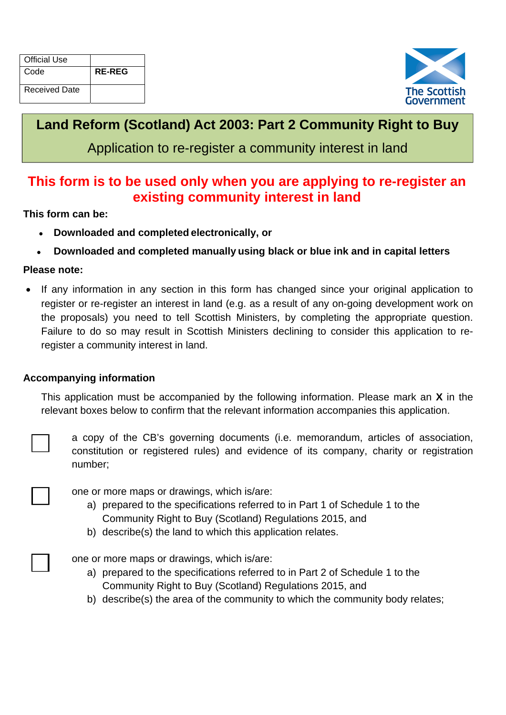| <b>Official Use</b> |               |
|---------------------|---------------|
| Code                | <b>RE-REG</b> |
| Received Date       |               |



# **Land Reform (Scotland) Act 2003: Part 2 Community Right to Buy**

Application to re-register a community interest in land

## **This form is to be used only when you are applying to re-register an existing community interest in land**

**This form can be:** 

- **Downloaded and completed electronically, or**
- **Downloaded and completed manually using black or blue ink and in capital letters**

#### **Please note:**

 If any information in any section in this form has changed since your original application to register or re-register an interest in land (e.g. as a result of any on-going development work on the proposals) you need to tell Scottish Ministers, by completing the appropriate question. Failure to do so may result in Scottish Ministers declining to consider this application to reregister a community interest in land.

#### **Accompanying information**

This application must be accompanied by the following information. Please mark an **X** in the relevant boxes below to confirm that the relevant information accompanies this application.



a copy of the CB's governing documents (i.e. memorandum, articles of association, constitution or registered rules) and evidence of its company, charity or registration number;

 $\Box$ 

one or more maps or drawings, which is/are:

- a) prepared to the specifications referred to in Part 1 of Schedule 1 to the Community Right to Buy (Scotland) Regulations 2015, and
- b) describe(s) the land to which this application relates.

 $\Box$ 

one or more maps or drawings, which is/are:

- a) prepared to the specifications referred to in Part 2 of Schedule 1 to the Community Right to Buy (Scotland) Regulations 2015, and
- b) describe(s) the area of the community to which the community body relates;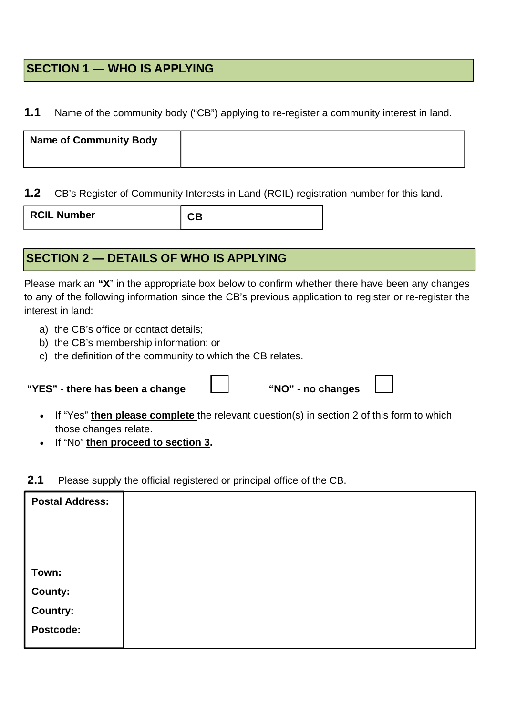### **SECTION 1 — WHO IS APPLYING**

#### **1.1** Name of the community body ("CB") applying to re-register a community interest in land.

| <b>Name of Community Body</b> |  |
|-------------------------------|--|
|                               |  |

#### **1.2** CB's Register of Community Interests in Land (RCIL) registration number for this land.

RCIL Number **CB** 

## **SECTION 2 — DETAILS OF WHO IS APPLYING**

Please mark an **"X**" in the appropriate box below to confirm whether there have been any changes to any of the following information since the CB's previous application to register or re-register the interest in land:

- a) the CB's office or contact details;
- b) the CB's membership information; or
- c) the definition of the community to which the CB relates.

 **"YES" - there has been a change**   $\Box$  "NO" - no changes

| • If "Yes" then please complete the relevant question(s) in section 2 of this form to which |
|---------------------------------------------------------------------------------------------|
| those changes relate.                                                                       |

If "No" **then proceed to section 3.**

## **2.1** Please supply the official registered or principal office of the CB.

| <b>Postal Address:</b>                                  |  |
|---------------------------------------------------------|--|
| Town:<br><b>County:</b><br><b>Country:</b><br>Postcode: |  |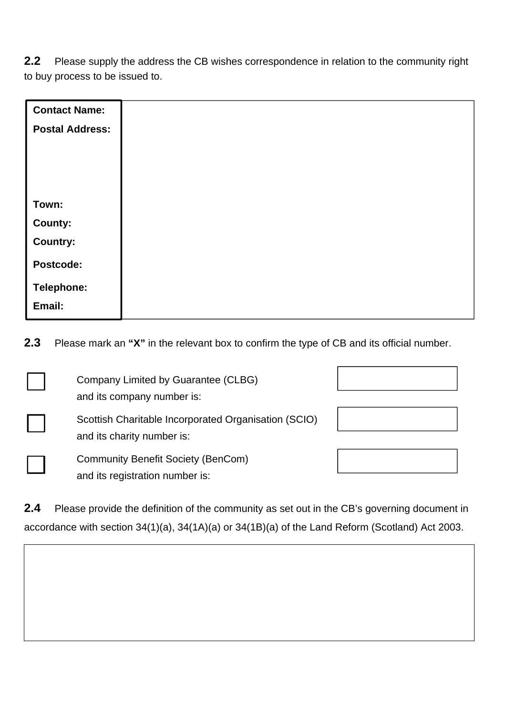**2.2** Please supply the address the CB wishes correspondence in relation to the community right to buy process to be issued to.

| <b>Contact Name:</b>   |  |
|------------------------|--|
| <b>Postal Address:</b> |  |
|                        |  |
|                        |  |
|                        |  |
| Town:                  |  |
| County:                |  |
| <b>Country:</b>        |  |
| Postcode:              |  |
| Telephone:             |  |
| Email:                 |  |
|                        |  |

**2.3** Please mark an **"X"** in the relevant box to confirm the type of CB and its official number.

| Company Limited by Guarantee (CLBG)<br>and its company number is:                  |  |
|------------------------------------------------------------------------------------|--|
| Scottish Charitable Incorporated Organisation (SCIO)<br>and its charity number is: |  |
| <b>Community Benefit Society (BenCom)</b><br>and its registration number is:       |  |

**2.4** Please provide the definition of the community as set out in the CB's governing document in accordance with section 34(1)(a), 34(1A)(a) or 34(1B)(a) of the Land Reform (Scotland) Act 2003.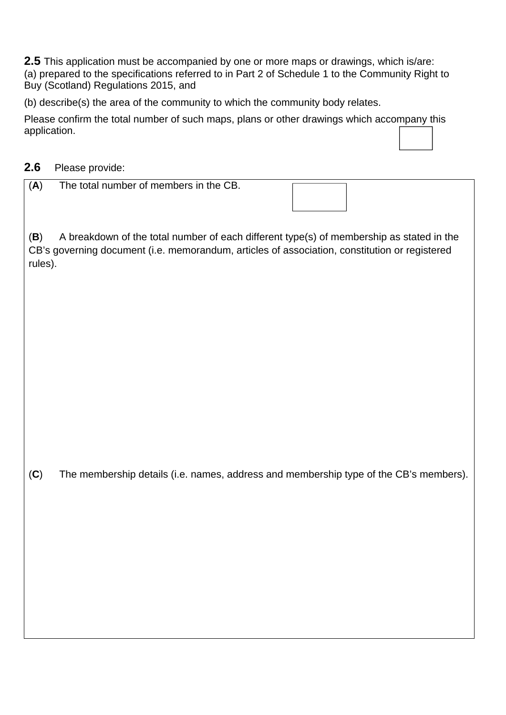**2.5** This application must be accompanied by one or more maps or drawings, which is/are: (a) prepared to the specifications referred to in Part 2 of Schedule 1 to the Community Right to Buy (Scotland) Regulations 2015, and

(b) describe(s) the area of the community to which the community body relates.

Please confirm the total number of such maps, plans or other drawings which accompany this application.

### **2.6** Please provide:

| (A) | The total number of members in the CB. |
|-----|----------------------------------------|
|     |                                        |

(**B**) A breakdown of the total number of each different type(s) of membership as stated in the CB's governing document (i.e. memorandum, articles of association, constitution or registered rules).

(**C**) The membership details (i.e. names, address and membership type of the CB's members).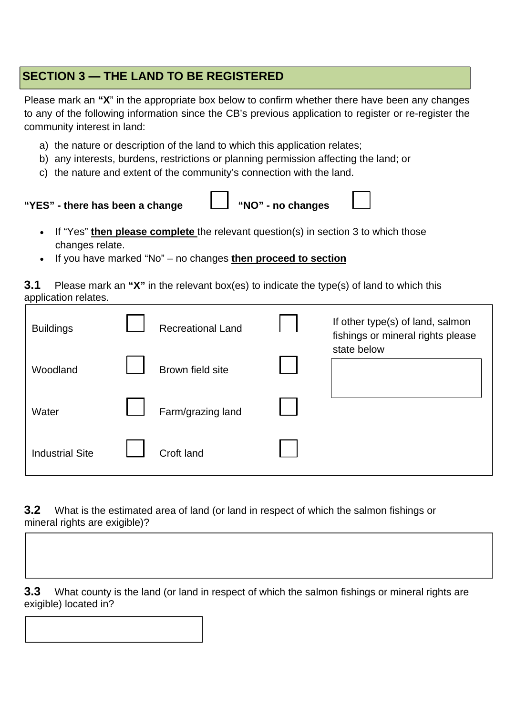## **SECTION 3 — THE LAND TO BE REGISTERED**

Please mark an **"X**" in the appropriate box below to confirm whether there have been any changes to any of the following information since the CB's previous application to register or re-register the community interest in land:

- a) the nature or description of the land to which this application relates;
- b) any interests, burdens, restrictions or planning permission affecting the land; or
- c) the nature and extent of the community's connection with the land.

**"YES" - there has been a change** ☐ **"NO" - no changes** ☐

- If "Yes" **then please complete** the relevant question(s) in section 3 to which those changes relate.
- If you have marked "No" no changes **then proceed to section**

**3.1** Please mark an **"X"** in the relevant box(es) to indicate the type(s) of land to which this application relates.

| <b>Buildings</b>       | <b>Recreational Land</b> | If other type(s) of land, salmon<br>fishings or mineral rights please |
|------------------------|--------------------------|-----------------------------------------------------------------------|
| Woodland               | Brown field site         | state below                                                           |
| Water                  | Farm/grazing land        |                                                                       |
| <b>Industrial Site</b> | Croft land               |                                                                       |

**3.2** What is the estimated area of land (or land in respect of which the salmon fishings or mineral rights are exigible)?



**3.3** What county is the land (or land in respect of which the salmon fishings or mineral rights are exigible) located in?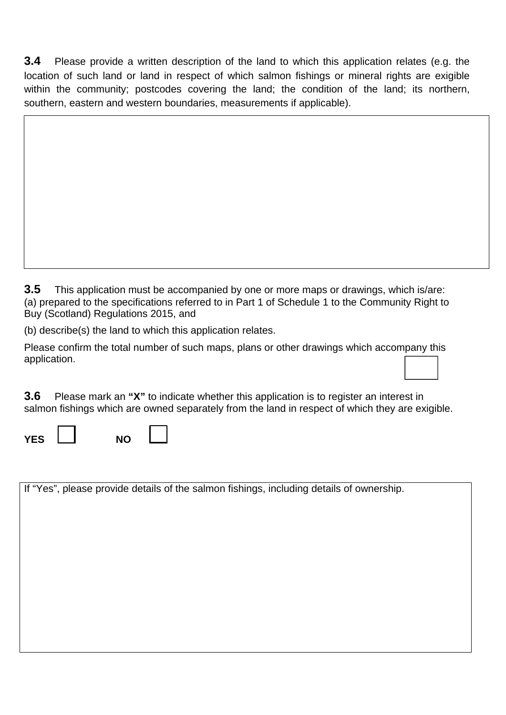**3.4** Please provide a written description of the land to which this application relates (e.g. the location of such land or land in respect of which salmon fishings or mineral rights are exigible within the community; postcodes covering the land; the condition of the land; its northern, southern, eastern and western boundaries, measurements if applicable).

**3.5** This application must be accompanied by one or more maps or drawings, which is/are: (a) prepared to the specifications referred to in Part 1 of Schedule 1 to the Community Right to Buy (Scotland) Regulations 2015, and

(b) describe(s) the land to which this application relates.

Please confirm the total number of such maps, plans or other drawings which accompany this application.

**3.6** Please mark an **"X"** to indicate whether this application is to register an interest in salmon fishings which are owned separately from the land in respect of which they are exigible.

| YFS. | NΟ |  |
|------|----|--|
|      |    |  |

If "Yes", please provide details of the salmon fishings, including details of ownership.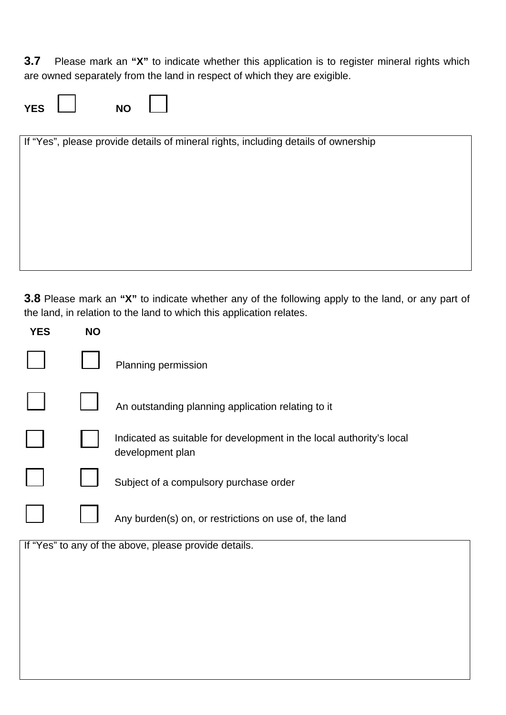**3.7** Please mark an **"X"** to indicate whether this application is to register mineral rights which are owned separately from the land in respect of which they are exigible.

| YES. | <b>NO</b> |  |
|------|-----------|--|
|------|-----------|--|

If "Yes", please provide details of mineral rights, including details of ownership

**3.8** Please mark an **"X"** to indicate whether any of the following apply to the land, or any part of the land, in relation to the land to which this application relates.

| <b>YES</b> | <b>NO</b> |                                                                                          |
|------------|-----------|------------------------------------------------------------------------------------------|
|            |           | Planning permission                                                                      |
|            |           | An outstanding planning application relating to it                                       |
|            |           | Indicated as suitable for development in the local authority's local<br>development plan |
|            |           | Subject of a compulsory purchase order                                                   |
|            |           | Any burden(s) on, or restrictions on use of, the land                                    |
|            |           | If "Yes" to any of the above, please provide details.                                    |
|            |           |                                                                                          |
|            |           |                                                                                          |
|            |           |                                                                                          |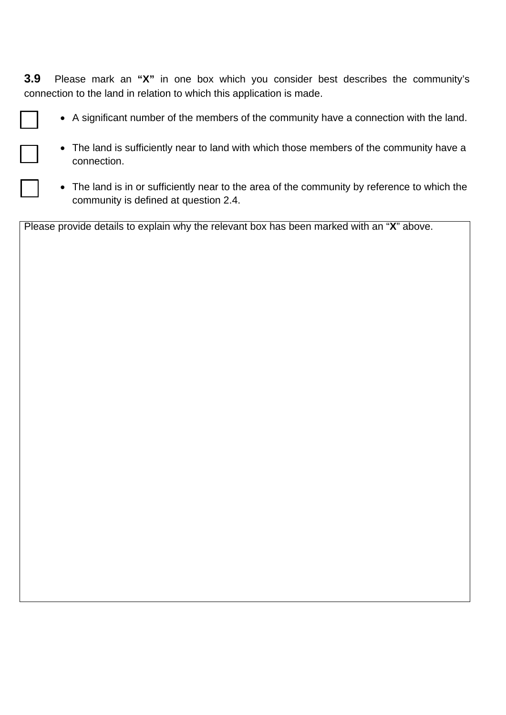**3.9** Please mark an **"X"** in one box which you consider best describes the community's connection to the land in relation to which this application is made.

- A significant number of the members of the community have a connection with the land.
- The land is sufficiently near to land with which those members of the community have a connection.
- The land is in or sufficiently near to the area of the community by reference to which the community is defined at question 2.4.

Please provide details to explain why the relevant box has been marked with an "**X**" above.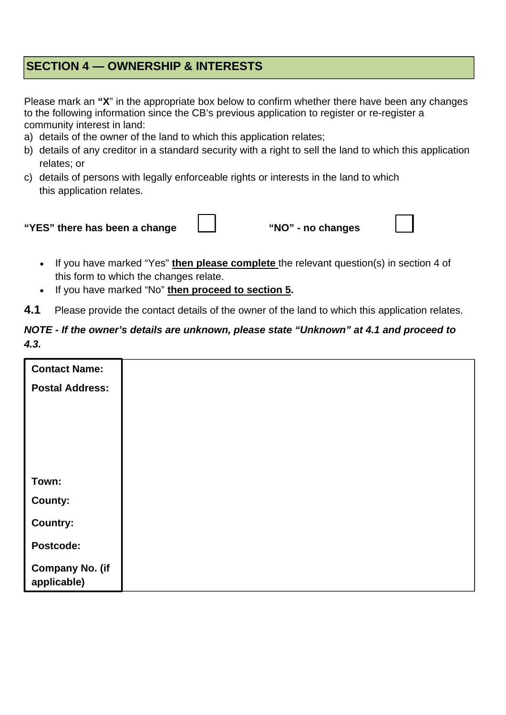### **SECTION 4 — OWNERSHIP & INTERESTS**

Please mark an **"X**" in the appropriate box below to confirm whether there have been any changes to the following information since the CB's previous application to register or re-register a community interest in land:

- a) details of the owner of the land to which this application relates;
- b) details of any creditor in a standard security with a right to sell the land to which this application relates; or
- c) details of persons with legally enforceable rights or interests in the land to which this application relates.



- If you have marked "Yes" **then please complete** the relevant question(s) in section 4 of this form to which the changes relate.
- If you have marked "No" **then proceed to section 5.**
- **4.1** Please provide the contact details of the owner of the land to which this application relates.

#### *NOTE - If the owner's details are unknown, please state "Unknown" at 4.1 and proceed to 4.3.*

| <b>Contact Name:</b>                  |  |
|---------------------------------------|--|
| <b>Postal Address:</b>                |  |
|                                       |  |
|                                       |  |
|                                       |  |
|                                       |  |
| Town:                                 |  |
| County:                               |  |
| <b>Country:</b>                       |  |
| Postcode:                             |  |
| <b>Company No. (if</b><br>applicable) |  |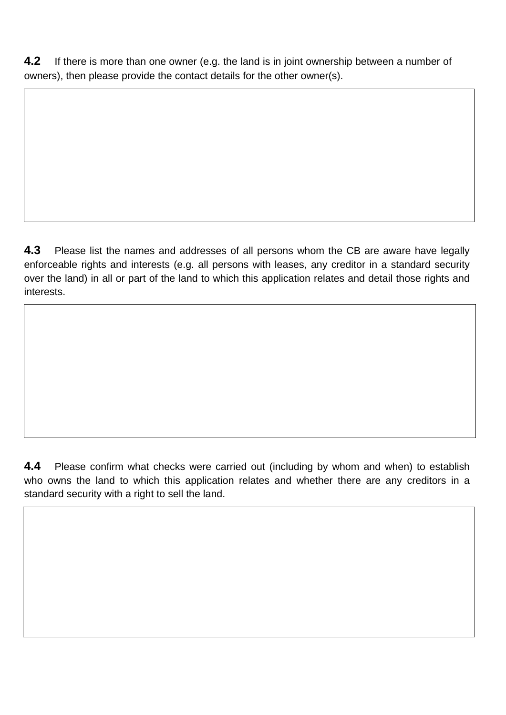**4.2** If there is more than one owner (e.g. the land is in joint ownership between a number of owners), then please provide the contact details for the other owner(s).

**4.3** Please list the names and addresses of all persons whom the CB are aware have legally enforceable rights and interests (e.g. all persons with leases, any creditor in a standard security over the land) in all or part of the land to which this application relates and detail those rights and interests.

**4.4** Please confirm what checks were carried out (including by whom and when) to establish who owns the land to which this application relates and whether there are any creditors in a standard security with a right to sell the land.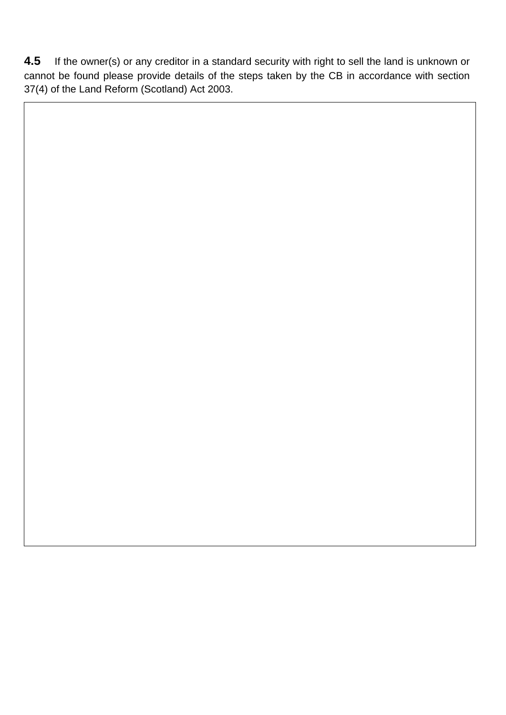**4.5** If the owner(s) or any creditor in a standard security with right to sell the land is unknown or cannot be found please provide details of the steps taken by the CB in accordance with section 37(4) of the Land Reform (Scotland) Act 2003.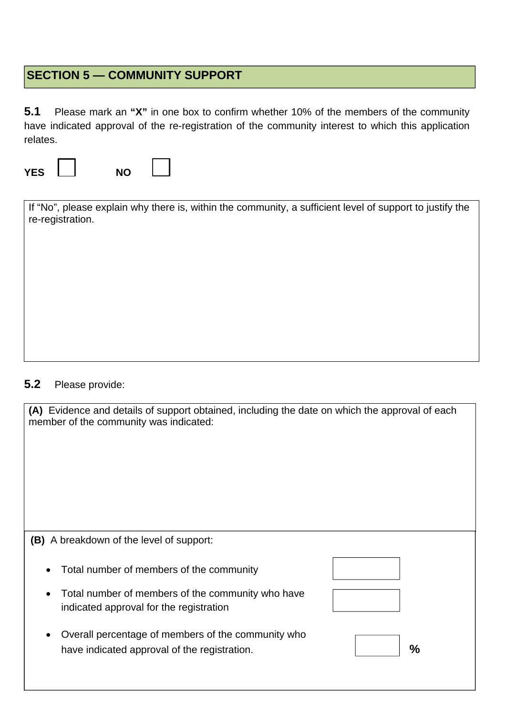# **SECTION 5 — COMMUNITY SUPPORT**

**5.1** Please mark an **"X"** in one box to confirm whether 10% of the members of the community have indicated approval of the re-registration of the community interest to which this application relates.

**YES** ☐ **NO** ☐

| If "No", please explain why there is, within the community, a sufficient level of support to justify the<br>re-registration. |
|------------------------------------------------------------------------------------------------------------------------------|
|                                                                                                                              |
|                                                                                                                              |
|                                                                                                                              |
|                                                                                                                              |
|                                                                                                                              |

### **5.2** Please provide:

| (A) Evidence and details of support obtained, including the date on which the approval of each<br>member of the community was indicated: |               |
|------------------------------------------------------------------------------------------------------------------------------------------|---------------|
| <b>(B)</b> A breakdown of the level of support:                                                                                          |               |
| Total number of members of the community                                                                                                 |               |
| Total number of members of the community who have<br>indicated approval for the registration                                             |               |
| Overall percentage of members of the community who<br>have indicated approval of the registration.                                       | $\frac{0}{0}$ |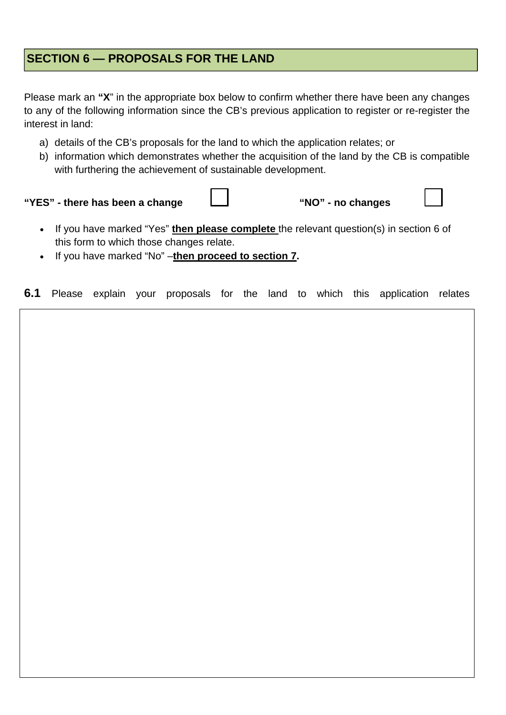### **SECTION 6 — PROPOSALS FOR THE LAND**

Please mark an **"X**" in the appropriate box below to confirm whether there have been any changes to any of the following information since the CB's previous application to register or re-register the interest in land:

- a) details of the CB's proposals for the land to which the application relates; or
- b) information which demonstrates whether the acquisition of the land by the CB is compatible with furthering the achievement of sustainable development.

**"YES"** - there has been a change  $\Box$  "NO" - no changes

- If you have marked "Yes" **then please complete** the relevant question(s) in section 6 of this form to which those changes relate.
- If you have marked "No" –**then proceed to section 7.**

**6.1** Please explain your proposals for the land to which this application relates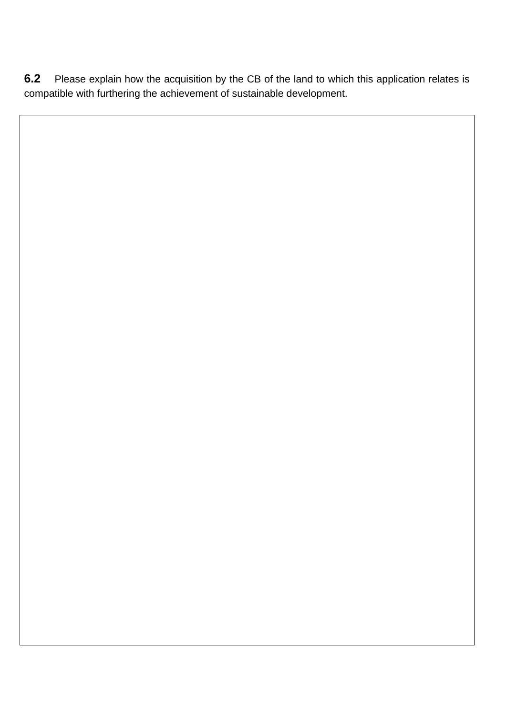**6.2** Please explain how the acquisition by the CB of the land to which this application relates is compatible with furthering the achievement of sustainable development.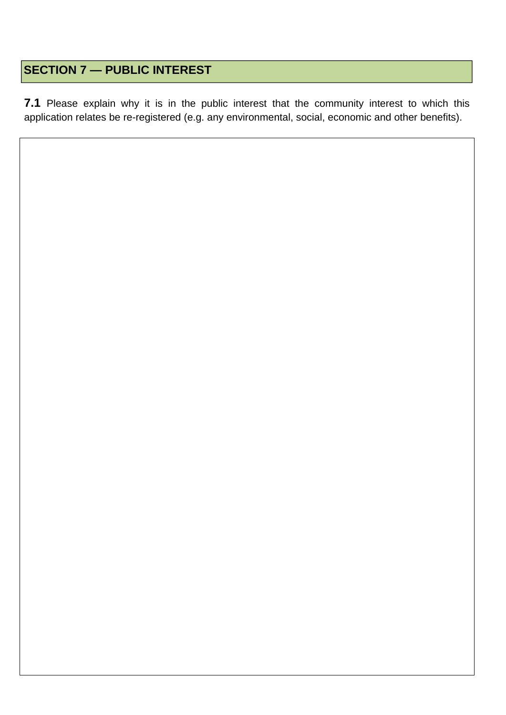## **SECTION 7 — PUBLIC INTEREST**

**7.1** Please explain why it is in the public interest that the community interest to which this application relates be re-registered (e.g. any environmental, social, economic and other benefits).